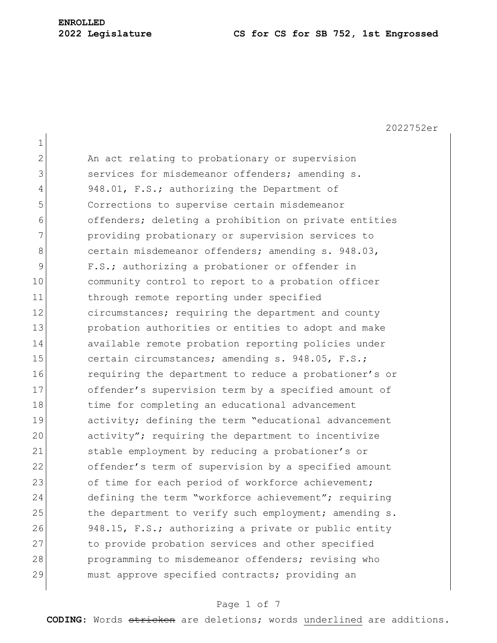# **ENROLLED**

#### **2022 Legislature CS for CS for SB 752, 1st Engrossed**

2022752er 1 2 An act relating to probationary or supervision 3 Services for misdemeanor offenders; amending s. 4 948.01, F.S.; authorizing the Department of 5 Corrections to supervise certain misdemeanor 6 offenders; deleting a prohibition on private entities 7 **providing probationary or supervision services to** 8 certain misdemeanor offenders; amending s. 948.03, 9 F.S.; authorizing a probationer or offender in 10 community control to report to a probation officer 11 through remote reporting under specified 12 circumstances; requiring the department and county 13 **probation authorities or entities to adopt and make** 14 available remote probation reporting policies under 15 certain circumstances; amending s. 948.05, F.S.; 16 **requiring the department to reduce a probationer's or** 17 offender's supervision term by a specified amount of 18 time for completing an educational advancement 19 activity; defining the term "educational advancement 20 activity"; requiring the department to incentivize 21 Stable employment by reducing a probationer's or 22 offender's term of supervision by a specified amount 23 of time for each period of workforce achievement; 24 defining the term "workforce achievement"; requiring 25 the department to verify such employment; amending s. 26 948.15, F.S.; authorizing a private or public entity 27 to provide probation services and other specified 28 programming to misdemeanor offenders; revising who 29 must approve specified contracts; providing an

#### Page 1 of 7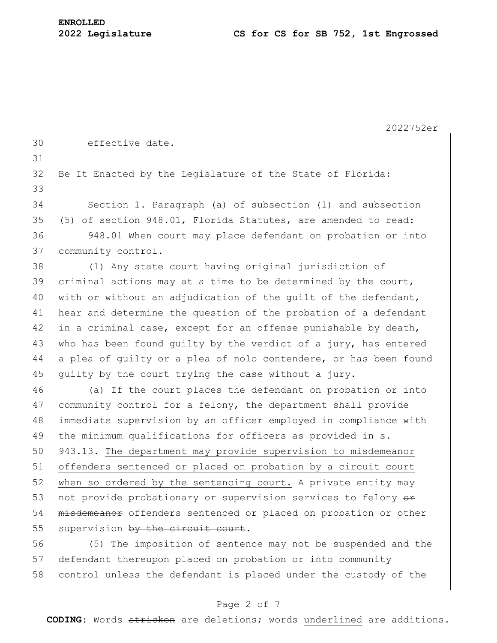2022752er 30 effective date. 31 32 Be It Enacted by the Legislature of the State of Florida: 33 34 Section 1. Paragraph (a) of subsection (1) and subsection 35 (5) of section 948.01, Florida Statutes, are amended to read: 36 948.01 When court may place defendant on probation or into 37 community control.-38 (1) Any state court having original jurisdiction of 39 criminal actions may at a time to be determined by the court, 40 with or without an adjudication of the quilt of the defendant, 41 hear and determine the question of the probation of a defendant 42 in a criminal case, except for an offense punishable by death, 43 who has been found quilty by the verdict of a jury, has entered 44 a plea of guilty or a plea of nolo contendere, or has been found 45 quilty by the court trying the case without a jury. 46 (a) If the court places the defendant on probation or into 47 community control for a felony, the department shall provide 48 | immediate supervision by an officer employed in compliance with 49 the minimum qualifications for officers as provided in s. 50 943.13. The department may provide supervision to misdemeanor 51 offenders sentenced or placed on probation by a circuit court 52 when so ordered by the sentencing court. A private entity may 53 not provide probationary or supervision services to felony  $\theta$ 54 misdemeanor offenders sentenced or placed on probation or other  $55$  supervision by the circuit court. 56 (5) The imposition of sentence may not be suspended and the 57 defendant thereupon placed on probation or into community 58 control unless the defendant is placed under the custody of the

#### Page 2 of 7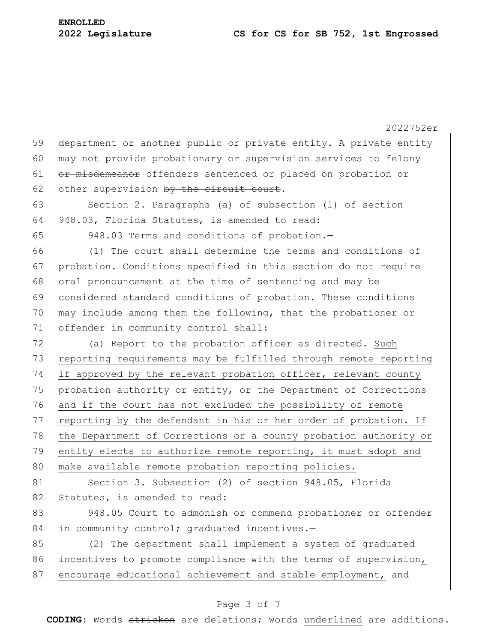2022752er 59 department or another public or private entity. A private entity 60 may not provide probationary or supervision services to felony 61 or misdemeanor offenders sentenced or placed on probation or 62 other supervision by the circuit court. 63 Section 2. Paragraphs (a) of subsection (1) of section 64 948.03, Florida Statutes, is amended to read: 65 948.03 Terms and conditions of probation.-66 (1) The court shall determine the terms and conditions of 67 probation. Conditions specified in this section do not require 68 oral pronouncement at the time of sentencing and may be 69 considered standard conditions of probation. These conditions 70 may include among them the following, that the probationer or 71 offender in community control shall: 72 (a) Report to the probation officer as directed. Such 73 reporting requirements may be fulfilled through remote reporting 74 if approved by the relevant probation officer, relevant county 75 probation authority or entity, or the Department of Corrections 76 and if the court has not excluded the possibility of remote 77 reporting by the defendant in his or her order of probation. If 78 the Department of Corrections or a county probation authority or 79 entity elects to authorize remote reporting, it must adopt and 80 make available remote probation reporting policies. 81 Section 3. Subsection (2) of section 948.05, Florida 82 Statutes, is amended to read: 83 948.05 Court to admonish or commend probationer or offender 84 in community control; graduated incentives.-85 (2) The department shall implement a system of graduated 86 incentives to promote compliance with the terms of supervision, 87 encourage educational achievement and stable employment, and

## Page 3 of 7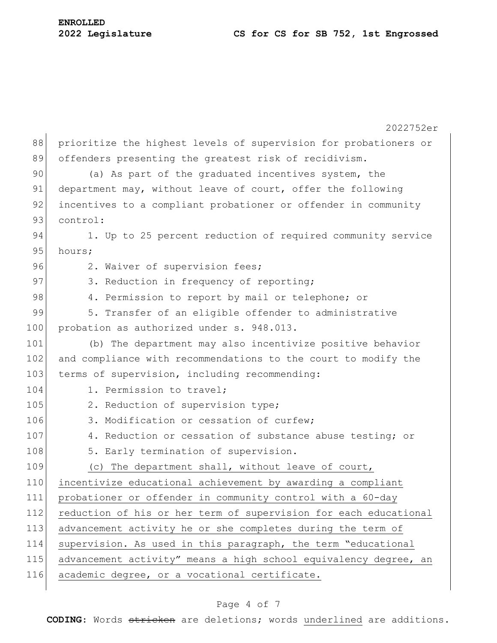2022752er 88 prioritize the highest levels of supervision for probationers or 89 offenders presenting the greatest risk of recidivism. 90 (a) As part of the graduated incentives system, the 91 department may, without leave of court, offer the following 92 incentives to a compliant probationer or offender in community 93 control: 94 1. Up to 25 percent reduction of required community service 95 hours; 96 2. Waiver of supervision fees; 97 3. Reduction in frequency of reporting; 98 4. Permission to report by mail or telephone; or 99 5. Transfer of an eligible offender to administrative 100 probation as authorized under s. 948.013. 101 (b) The department may also incentivize positive behavior 102 and compliance with recommendations to the court to modify the 103 terms of supervision, including recommending: 104 1. Permission to travel: 105 2. Reduction of supervision type; 106 3. Modification or cessation of curfew; 107 4. Reduction or cessation of substance abuse testing; or 108 5. Early termination of supervision. 109 (c) The department shall, without leave of court, 110 incentivize educational achievement by awarding a compliant 111 probationer or offender in community control with a 60-day 112 reduction of his or her term of supervision for each educational 113 advancement activity he or she completes during the term of 114 supervision. As used in this paragraph, the term "educational 115 advancement activity" means a high school equivalency degree, an 116 academic degree, or a vocational certificate.

### Page 4 of 7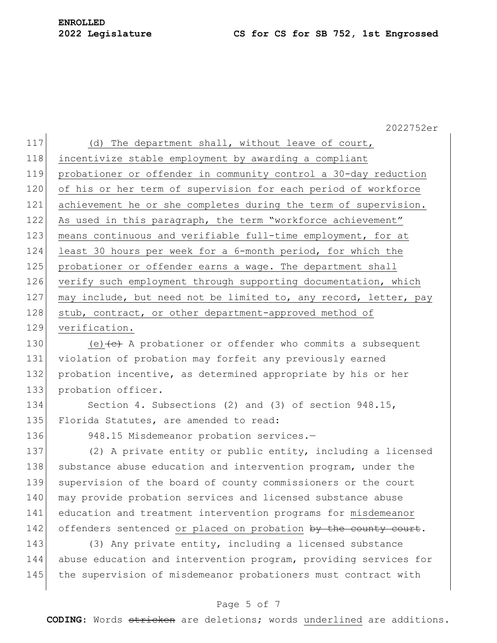#### **2022 Legislature CS for CS for SB 752, 1st Engrossed**

2022752er 117 (d) The department shall, without leave of court, 118 incentivize stable employment by awarding a compliant 119 probationer or offender in community control a 30-day reduction 120 of his or her term of supervision for each period of workforce 121 achievement he or she completes during the term of supervision. 122 As used in this paragraph, the term "workforce achievement" 123 means continuous and verifiable full-time employment, for at 124 least 30 hours per week for a 6-month period, for which the 125 probationer or offender earns a wage. The department shall 126 verify such employment through supporting documentation, which 127 may include, but need not be limited to, any record, letter, pay 128 stub, contract, or other department-approved method of 129 verification. 130 (e)  $\left(\frac{e}{c}\right)$  A probationer or offender who commits a subsequent 131 violation of probation may forfeit any previously earned 132 probation incentive, as determined appropriate by his or her 133 probation officer. 134 Section 4. Subsections (2) and (3) of section 948.15, 135 Florida Statutes, are amended to read: 136 948.15 Misdemeanor probation services.-137 (2) A private entity or public entity, including a licensed 138 substance abuse education and intervention program, under the 139 supervision of the board of county commissioners or the court 140 may provide probation services and licensed substance abuse 141 education and treatment intervention programs for misdemeanor 142 offenders sentenced or placed on probation by the county court. 143 (3) Any private entity, including a licensed substance 144 abuse education and intervention program, providing services for 145 the supervision of misdemeanor probationers must contract with

#### Page 5 of 7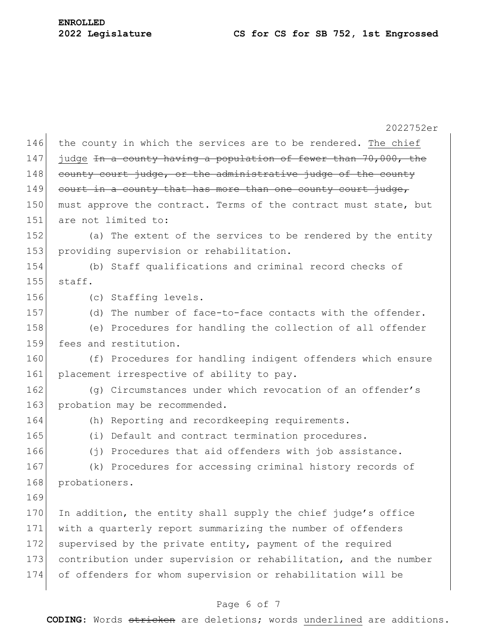2022752er 146 the county in which the services are to be rendered. The chief 147 judge In a county having a population of fewer than 70,000, the 148 county court judge, or the administrative judge of the county 149 court in a county that has more than one county court judge, 150 must approve the contract. Terms of the contract must state, but 151 are not limited to: 152 (a) The extent of the services to be rendered by the entity 153 providing supervision or rehabilitation. 154 (b) Staff qualifications and criminal record checks of  $155$  staff. 156 (c) Staffing levels. 157 (d) The number of face-to-face contacts with the offender. 158 (e) Procedures for handling the collection of all offender 159 fees and restitution. 160 (f) Procedures for handling indigent offenders which ensure 161 placement irrespective of ability to pay. 162 (g) Circumstances under which revocation of an offender's 163 probation may be recommended. 164 (h) Reporting and recordkeeping requirements. 165 (i) Default and contract termination procedures. 166 (j) Procedures that aid offenders with job assistance. 167 (k) Procedures for accessing criminal history records of 168 probationers. 169 170 In addition, the entity shall supply the chief judge's office 171 with a quarterly report summarizing the number of offenders 172 supervised by the private entity, payment of the required 173 contribution under supervision or rehabilitation, and the number 174 of offenders for whom supervision or rehabilitation will be

#### Page 6 of 7